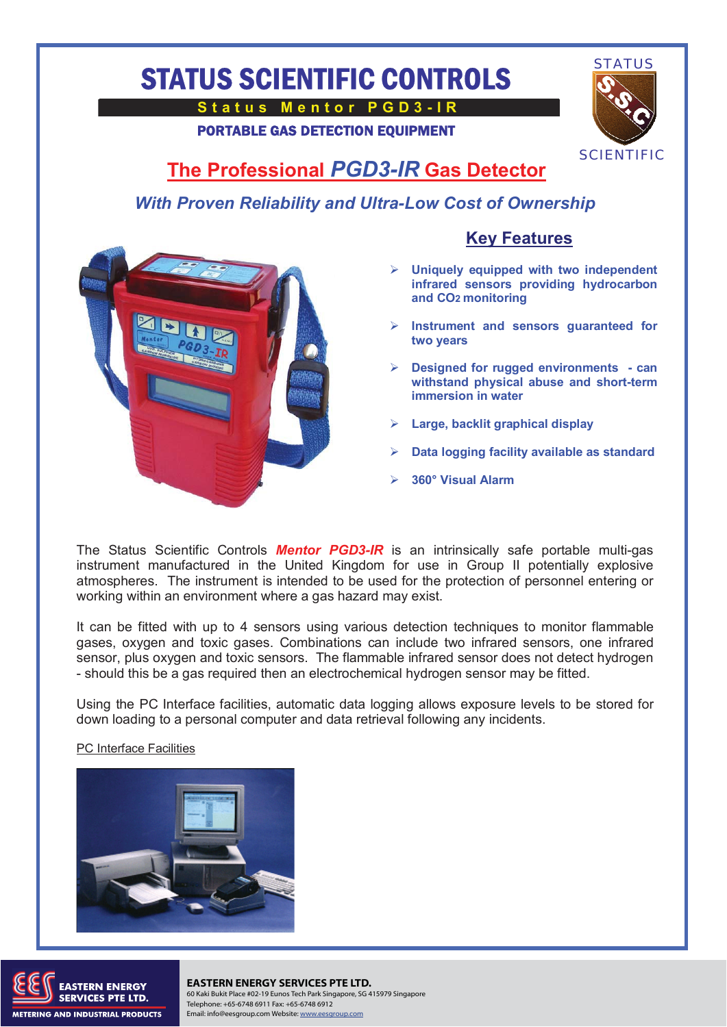## STATUS SCIENTIFIC CONTROLS

**Status Mentor PGD3-IR** 

PORTABLE GAS DETECTION EQUIPMENT



## **The Professional** *PGD3-IR* **Gas Detector**

*With Proven Reliability and Ultra-Low Cost of Ownership* 



## **Key Features**

- **Uniquely equipped with two independent infrared sensors providing hydrocarbon and CO2 monitoring**
- **Instrument and sensors guaranteed for two years**
- **Designed for rugged environments can withstand physical abuse and short-term immersion in water**
- **Large, backlit graphical display**
- **Data logging facility available as standard**
- **360° Visual Alarm**

The Status Scientific Controls *Mentor PGD3-IR* is an intrinsically safe portable multi-gas instrument manufactured in the United Kingdom for use in Group II potentially explosive atmospheres. The instrument is intended to be used for the protection of personnel entering or working within an environment where a gas hazard may exist.

It can be fitted with up to 4 sensors using various detection techniques to monitor flammable gases, oxygen and toxic gases. Combinations can include two infrared sensors, one infrared sensor, plus oxygen and toxic sensors. The flammable infrared sensor does not detect hydrogen - should this be a gas required then an electrochemical hydrogen sensor may be fitted.

Using the PC Interface facilities, automatic data logging allows exposure levels to be stored for down loading to a personal computer and data retrieval following any incidents.

PC Interface Facilities





TERN ENERGY **EASTERN ENERGY SERVICES PTE LTD.** 60 Kaki Bukit Place #02-19 Eunos Tech Park Singapore, SG 415979 Singapore Telephone: +65-6748 6911 Fax: +65-6748 6912 Email: info@eesgroup.com Website: www.eesgroup.com